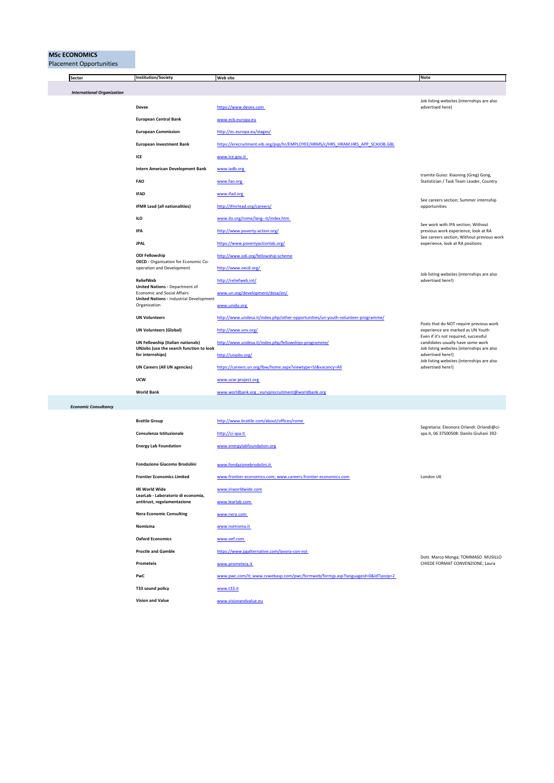## **MSc ECONOMICS**<br>Placement Opport

| Sector                            | <b>Institution/Society</b>                                                                      | <b>Web site</b>                                                                  | Note                                                                                                                                                         |
|-----------------------------------|-------------------------------------------------------------------------------------------------|----------------------------------------------------------------------------------|--------------------------------------------------------------------------------------------------------------------------------------------------------------|
| <b>International Organization</b> |                                                                                                 |                                                                                  |                                                                                                                                                              |
|                                   | <b>Devex</b>                                                                                    | https://www.devex.com                                                            | Job listing websites (internships are also<br>advertised here)                                                                                               |
|                                   | <b>European Central Bank</b>                                                                    | www.ecb.europa.eu                                                                |                                                                                                                                                              |
|                                   | <b>European Commission</b>                                                                      | http://ec.europa.eu/stages/                                                      |                                                                                                                                                              |
|                                   | <b>European Investment Bank</b>                                                                 | https://erecruitment.eib.org/psp/hr/EMPLOYEE/HRMS/c/HRS_HRAM.HRS_APP_SCHJOB.GBL  |                                                                                                                                                              |
|                                   | ICE                                                                                             | www.ice.gov.it                                                                   |                                                                                                                                                              |
|                                   | <b>Intern American Development Bank</b>                                                         | www.iadb.org                                                                     |                                                                                                                                                              |
|                                   | <b>FAO</b>                                                                                      | www.fao.org                                                                      | tramite Guiso: Xiaoning (Greg) Gong,<br>Statistician / Task Team Leader, Country                                                                             |
|                                   | <b>IFAD</b>                                                                                     | www.ifad.org                                                                     |                                                                                                                                                              |
|                                   | <b>IFMR Lead (all nationalities)</b>                                                            | http://ifmrlead.org/careers/                                                     | See careers section; Summer internship<br>opportunities                                                                                                      |
|                                   | ILO                                                                                             | www.ilo.org/rome/lang--it/index.htm                                              |                                                                                                                                                              |
|                                   | IPA                                                                                             | http://www.poverty-action.org/                                                   | See work with IPA section; Without<br>previous work experience, look at RA<br>See careers section; Without previous work<br>experience, look at RA positions |
|                                   | <b>JPAL</b>                                                                                     | https://www.povertyactionlab.org/                                                |                                                                                                                                                              |
|                                   | <b>ODI Fellowship</b>                                                                           | http://www.odi.org/fellowship-scheme                                             |                                                                                                                                                              |
|                                   | OECD - Organisation for Economic Co-<br>operation and Development                               | http://www.oecd.org/                                                             |                                                                                                                                                              |
|                                   | <b>ReliefWeb</b><br><b>United Nations - Department of</b><br><b>Economic and Social Affairs</b> | http://reliefweb.int/                                                            | Job listing websites (internships are also<br>advertised here!)                                                                                              |
|                                   |                                                                                                 | www.un.org/development/desa/en/                                                  |                                                                                                                                                              |
|                                   | <b>United Nations - Industrial Development</b><br>Organization                                  | www.unido.org                                                                    |                                                                                                                                                              |
|                                   | <b>UN Volunteers</b>                                                                            | http://www.undesa.it/index.php/other-opportunities/un-youth-volunteer-programme/ |                                                                                                                                                              |
|                                   | <b>UN Volunteers (Global)</b>                                                                   | http://www.unv.org/                                                              | Posts that do NOT require previous work<br>experience are marked as UN Youth                                                                                 |
|                                   | UN Fellowship (Italian nationals)                                                               | http://www.undesa.it/index.php/fellowships-programme/                            | Even if it's not required, successful<br>candidates usually have some work                                                                                   |
|                                   | UNJobs (use the search function to look<br>for internships)                                     | http://unjobs.org/                                                               | Job listing websites (internships are also<br>advertised here!)                                                                                              |
|                                   | <b>UN Careers (All UN agencies)</b>                                                             | https://careers.un.org/lbw/home.aspx?viewtype=SJ&vacancy=All                     | Job listing websites (internships are also<br>advertised here!)                                                                                              |
|                                   | <b>UCW</b>                                                                                      | www.ucw-project.org                                                              |                                                                                                                                                              |
|                                   | <b>World Bank</b>                                                                               | www.worldbank.org ; eurvprecruitment@worldbank.org                               |                                                                                                                                                              |
| <b>Economic Consultancy</b>       |                                                                                                 |                                                                                  |                                                                                                                                                              |
|                                   | <b>Brattle Group</b>                                                                            | http://www.brattle.com/about/offices/rome                                        |                                                                                                                                                              |
|                                   | Consulenza Istituzionale                                                                        | http://ci-spa.it                                                                 | Segretaria: Eleonora Orlandi: Orlandi@ci-<br>spa.it, 06 37500508: Danilo Giuliani 392-                                                                       |
|                                   | <b>Energy Lab Foundation</b>                                                                    | www.energylabfoundation.org                                                      |                                                                                                                                                              |
|                                   |                                                                                                 |                                                                                  |                                                                                                                                                              |
|                                   | Fondazione Giacomo Brodolini                                                                    | www.fondazionebrodolini.it                                                       |                                                                                                                                                              |
|                                   | <b>Frontier Economics Limited</b>                                                               | www.frontier-economics.com; www.careers.frontier-economics.com                   | London UK                                                                                                                                                    |
|                                   | IRi World Wide<br>LearLab - Laboratorio di economia,                                            | www.iriworldwide.com                                                             |                                                                                                                                                              |
|                                   | antitrust, regolamentazione                                                                     | www.learlab.com                                                                  |                                                                                                                                                              |
|                                   | <b>Nera Economic Consulting</b>                                                                 | www.nera.com                                                                     |                                                                                                                                                              |
|                                   | Nomisma                                                                                         | www.nomisma.it                                                                   |                                                                                                                                                              |
|                                   | <b>Oxford Economics</b>                                                                         | www.oef.com                                                                      |                                                                                                                                                              |
|                                   | <b>Proctle and Gamble</b>                                                                       | https://www.pgalternative.com/lavora-con-noi                                     | Dott. Marco Monga; TOMMASO MUSILLO                                                                                                                           |
|                                   | Prometeia                                                                                       | www.prometeia.it                                                                 | CHIEDE FORMAT CONVENZIONE; Laura                                                                                                                             |
|                                   | PwC                                                                                             | www.pwc.com/it; www.cvwebasp.com/pwc/formweb/formjp.asp?languageid=0&ldTipoJp=2  |                                                                                                                                                              |
|                                   | T33 sound policy                                                                                | www.t33.it                                                                       |                                                                                                                                                              |
|                                   | <b>Vision and Value</b>                                                                         | www.visionandvalue.eu                                                            |                                                                                                                                                              |